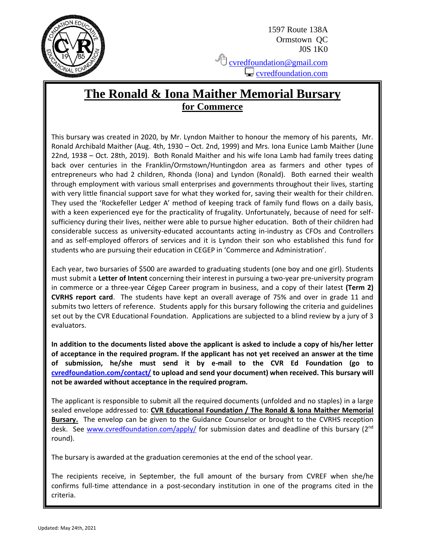

1597 Route 138A Ormstown QC J0S 1K0 **C** [cvredfoundation@gmail.com](mailto:cvredfoundation@gmail.com) [cvredfoundation.com](http://www.cvredfoundation.com/)

# **The Ronald & Iona Maither Memorial Bursary for Commerce**

This bursary was created in 2020, by Mr. Lyndon Maither to honour the memory of his parents, Mr. Ronald Archibald Maither (Aug. 4th, 1930 – Oct. 2nd, 1999) and Mrs. Iona Eunice Lamb Maither (June 22nd, 1938 – Oct. 28th, 2019). Both Ronald Maither and his wife Iona Lamb had family trees dating back over centuries in the Franklin/Ormstown/Huntingdon area as farmers and other types of entrepreneurs who had 2 children, Rhonda (Iona) and Lyndon (Ronald). Both earned their wealth through employment with various small enterprises and governments throughout their lives, starting with very little financial support save for what they worked for, saving their wealth for their children. They used the 'Rockefeller Ledger A' method of keeping track of family fund flows on a daily basis, with a keen experienced eye for the practicality of frugality. Unfortunately, because of need for selfsufficiency during their lives, neither were able to pursue higher education. Both of their children had considerable success as university-educated accountants acting in-industry as CFOs and Controllers and as self-employed offerors of services and it is Lyndon their son who established this fund for students who are pursuing their education in CEGEP in 'Commerce and Administration'.

Each year, two bursaries of \$500 are awarded to graduating students (one boy and one girl). Students must submit a **Letter of Intent** concerning their interest in pursuing a two-year pre-university program in commerce or a three-year Cégep Career program in business, and a copy of their latest **(Term 2) CVRHS report card**. The students have kept an overall average of 75% and over in grade 11 and submits two letters of reference. Students apply for this bursary following the criteria and guidelines set out by the CVR Educational Foundation. Applications are subjected to a blind review by a jury of 3 evaluators.

**In addition to the documents listed above the applicant is asked to include a copy of his/her letter of acceptance in the required program. If the applicant has not yet received an answer at the time of submission, he/she must send it by e-mail to the CVR Ed Foundation (go to [cvredfoundation.com/contact/](http://cvredfoundation.com/contact/) to upload and send your document) when received. This bursary will not be awarded without acceptance in the required program.** 

The applicant is responsible to submit all the required documents (unfolded and no staples) in a large sealed envelope addressed to: **CVR Educational Foundation / The Ronald & Iona Maither Memorial Bursary.** The envelop can be given to the Guidance Counselor or brought to the CVRHS reception desk. See [www.cvredfoundation.com/apply/](http://www.cvredfoundation.com/apply/) for submission dates and deadline of this bursary (2<sup>nd</sup> round).

The bursary is awarded at the graduation ceremonies at the end of the school year.

The recipients receive, in September, the full amount of the bursary from CVREF when she/he confirms full-time attendance in a post-secondary institution in one of the programs cited in the criteria.